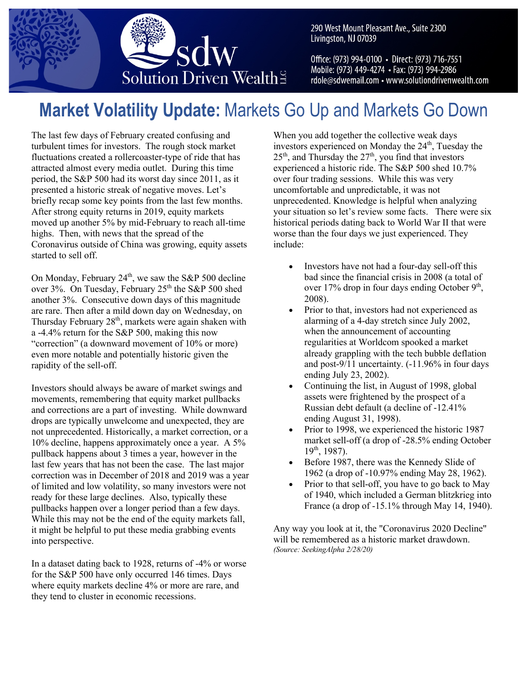

290 West Mount Pleasant Ave., Suite 2300 Livingston, NJ 07039

Office: (973) 994-0100 · Direct: (973) 716-7551 Mobile: (973) 449-4274 • Fax: (973) 994-2986 rdole@sdwemail.com • www.solutiondrivenwealth.com

# **Market Volatility Update:** Markets Go Up and Markets Go Down

The last few days of February created confusing and turbulent times for investors. The rough stock market fluctuations created a rollercoaster-type of ride that has attracted almost every media outlet. During this time period, the S&P 500 had its worst day since 2011, as it presented a historic streak of negative moves. Let's briefly recap some key points from the last few months. After strong equity returns in 2019, equity markets moved up another 5% by mid-February to reach all-time highs. Then, with news that the spread of the Coronavirus outside of China was growing, equity assets started to sell off.

On Monday, February  $24<sup>th</sup>$ , we saw the S&P 500 decline over 3%. On Tuesday, February  $25<sup>th</sup>$  the S&P 500 shed another 3%. Consecutive down days of this magnitude are rare. Then after a mild down day on Wednesday, on Thursday February  $28<sup>th</sup>$ , markets were again shaken with a -4.4% return for the S&P 500, making this now "correction" (a downward movement of 10% or more) even more notable and potentially historic given the rapidity of the sell-off.

Investors should always be aware of market swings and movements, remembering that equity market pullbacks and corrections are a part of investing. While downward drops are typically unwelcome and unexpected, they are not unprecedented. Historically, a market correction, or a 10% decline, happens approximately once a year. A 5% pullback happens about 3 times a year, however in the last few years that has not been the case. The last major correction was in December of 2018 and 2019 was a year of limited and low volatility, so many investors were not ready for these large declines. Also, typically these pullbacks happen over a longer period than a few days. While this may not be the end of the equity markets fall, it might be helpful to put these media grabbing events into perspective. 

In a dataset dating back to 1928, returns of -4% or worse for the S&P 500 have only occurred 146 times. Days where equity markets decline 4% or more are rare, and they tend to cluster in economic recessions.

When you add together the collective weak days investors experienced on Monday the  $24<sup>th</sup>$ , Tuesday the  $25<sup>th</sup>$ , and Thursday the  $27<sup>th</sup>$ , you find that investors experienced a historic ride. The S&P 500 shed 10.7% over four trading sessions. While this was very uncomfortable and unpredictable, it was not unprecedented. Knowledge is helpful when analyzing your situation so let's review some facts. There were six historical periods dating back to World War II that were worse than the four days we just experienced. They include:

- Investors have not had a four-day sell-off this bad since the financial crisis in 2008 (a total of over 17% drop in four days ending October  $9<sup>th</sup>$ , 2008).
- Prior to that, investors had not experienced as alarming of a 4-day stretch since July 2002, when the announcement of accounting regularities at Worldcom spooked a market already grappling with the tech bubble deflation and post-9/11 uncertainty. (-11.96% in four days ending July 23, 2002).
- Continuing the list, in August of 1998, global assets were frightened by the prospect of a Russian debt default (a decline of -12.41% ending August 31, 1998).
- Prior to 1998, we experienced the historic 1987 market sell-off (a drop of -28.5% ending October  $19^{th}$ , 1987).
- Before 1987, there was the Kennedy Slide of 1962 (a drop of -10.97% ending May 28, 1962).
- Prior to that sell-off, you have to go back to May of 1940, which included a German blitzkrieg into France (a drop of -15.1% through May 14, 1940).

Any way you look at it, the "Coronavirus 2020 Decline" will be remembered as a historic market drawdown. *(Source: SeekingAlpha 2/28/20)*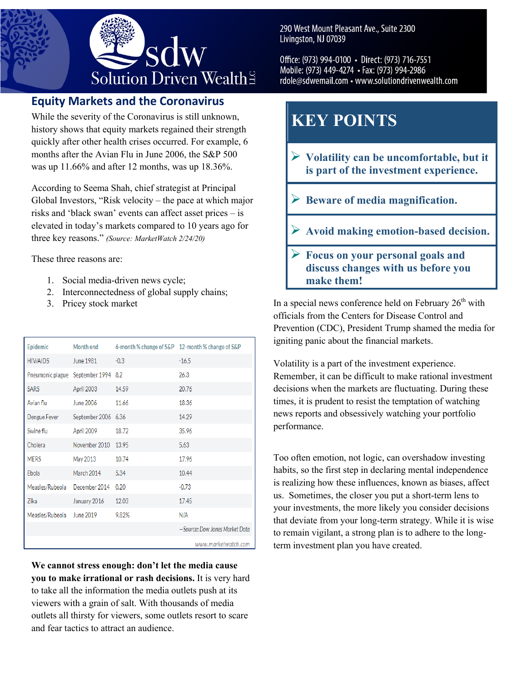

## **Equity Markets and the Coronavirus**

While the severity of the Coronavirus is still unknown, history shows that equity markets regained their strength quickly after other health crises occurred. For example, 6 months after the Avian Flu in June 2006, the S&P 500 was up 11.66% and after 12 months, was up 18.36%.

According to Seema Shah, chief strategist at Principal Global Investors, "Risk velocity – the pace at which major risks and 'black swan' events can affect asset prices – is elevated in today's markets compared to 10 years ago for three key reasons." *(Source: MarketWatch 2/24/20)*

These three reasons are:

- 1. Social media-driven news cycle;
- 2. Interconnectedness of global supply chains;
- 3. Pricey stock market

| Epidemic                            | Month end           |        | 6-month % change of S&P 12-month % change of S&P |
|-------------------------------------|---------------------|--------|--------------------------------------------------|
| <b>HIV/AIDS</b>                     | June 1981           | $-0.3$ | $-16.5$                                          |
| Pneumonic plague September 1994 8.2 |                     |        | 26.3                                             |
| <b>SARS</b>                         | April 2003          | 14.59  | 20.76                                            |
| Avian flu                           | June 2006           | 11.66  | 18.36                                            |
| Dengue Fever                        | September 2006 6.36 |        | 14.29                                            |
| Swine flu                           | April 2009          | 18.72  | 35.96                                            |
| Cholera                             | November 2010 13.95 |        | 5.63                                             |
| <b>MERS</b>                         | May 2013            | 10.74  | 17.96                                            |
| Ebola                               | March 2014          | 5.34   | 10.44                                            |
| Measles/Rubeola                     | December 2014       | 0.20   | $-0.73$                                          |
| Zika                                | January 2016        | 12.03  | 17.45                                            |
| Measles/Rubeola                     | June 2019           | 9.82%  | N/A                                              |
|                                     |                     |        | -Source: Dow Jones Market Data                   |
|                                     |                     |        | www.marketwatch.com                              |

**We cannot stress enough: don't let the media cause you to make irrational or rash decisions.** It is very hard to take all the information the media outlets push at its viewers with a grain of salt. With thousands of media outlets all thirsty for viewers, some outlets resort to scare and fear tactics to attract an audience.

290 West Mount Pleasant Ave., Suite 2300 Livingston, NJ 07039

Office: (973) 994-0100 · Direct: (973) 716-7551 Mobile: (973) 449-4274 • Fax: (973) 994-2986 rdole@sdwemail.com • www.solutiondrivenwealth.com

## **KEY POINTS**

- Ø **Volatility can be uncomfortable, but it is part of the investment experience.**
- Ø **Beware of media magnification.**
- Ø **Avoid making emotion-based decision.**
- Ø **Focus on your personal goals and discuss changes with us before you make them!**

In a special news conference held on February  $26<sup>th</sup>$  with officials from the Centers for Disease Control and Prevention (CDC), President Trump shamed the media for igniting panic about the financial markets.

Volatility is a part of the investment experience. Remember, it can be difficult to make rational investment decisions when the markets are fluctuating. During these times, it is prudent to resist the temptation of watching news reports and obsessively watching your portfolio performance.

Too often emotion, not logic, can overshadow investing habits, so the first step in declaring mental independence is realizing how these influences, known as biases, affect us. Sometimes, the closer you put a short-term lens to your investments, the more likely you consider decisions that deviate from your long-term strategy. While it is wise to remain vigilant, a strong plan is to adhere to the longterm investment plan you have created.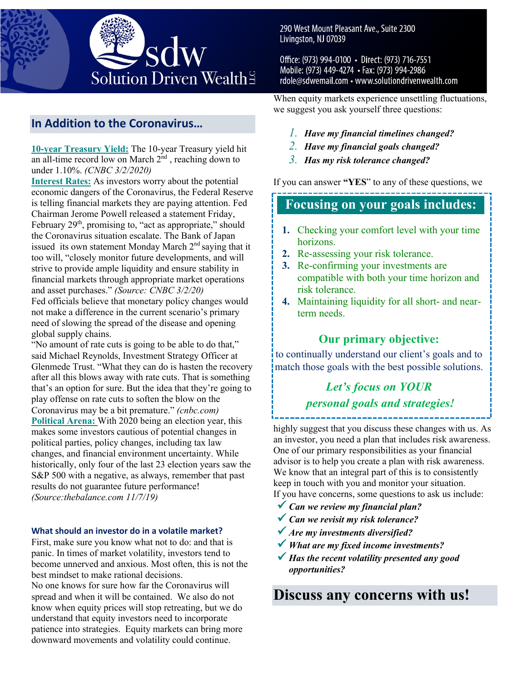

## **In Addition to the Coronavirus…**

**10-year Treasury Yield:** The 10-year Treasury yield hit an all-time record low on March  $2<sup>nd</sup>$ , reaching down to under 1.10%. *(CNBC 3/2/2020)*

**Interest Rates:** As investors worry about the potential economic dangers of the Coronavirus, the Federal Reserve is telling financial markets they are paying attention. Fed Chairman Jerome Powell released a statement Friday, February  $29<sup>th</sup>$ , promising to, "act as appropriate," should the Coronavirus situation escalate. The Bank of Japan issued its own statement Monday March  $2<sup>nd</sup>$  saying that it too will, "closely monitor future developments, and will strive to provide ample liquidity and ensure stability in financial markets through appropriate market operations and asset purchases." *(Source: CNBC 3/2/20)* Fed officials believe that monetary policy changes would not make a difference in the current scenario's primary need of slowing the spread of the disease and opening global supply chains.

"No amount of rate cuts is going to be able to do that," said Michael Reynolds, Investment Strategy Officer at Glenmede Trust. "What they can do is hasten the recovery after all this blows away with rate cuts. That is something that's an option for sure. But the idea that they're going to play offense on rate cuts to soften the blow on the Coronavirus may be a bit premature." *(cnbc.com)* **Political Arena:** With 2020 being an election year, this makes some investors cautious of potential changes in political parties, policy changes, including tax law changes, and financial environment uncertainty. While historically, only four of the last 23 election years saw the S&P 500 with a negative, as always, remember that past results do not guarantee future performance! *(Source:thebalance.com 11/7/19)*

#### **What should an investor do in a volatile market?**

First, make sure you know what not to do: and that is panic. In times of market volatility, investors tend to become unnerved and anxious. Most often, this is not the best mindset to make rational decisions.

No one knows for sure how far the Coronavirus will spread and when it will be contained. We also do not know when equity prices will stop retreating, but we do understand that equity investors need to incorporate patience into strategies. Equity markets can bring more downward movements and volatility could continue.

290 West Mount Pleasant Ave., Suite 2300 Livingston, NJ 07039

Office: (973) 994-0100 · Direct: (973) 716-7551 Mobile: (973) 449-4274 • Fax: (973) 994-2986 rdole@sdwemail.com • www.solutiondrivenwealth.com

When equity markets experience unsettling fluctuations, we suggest you ask yourself three questions:

- *1. Have my financial timelines changed?*
- *2. Have my financial goals changed?*
- *3. Has my risk tolerance changed?*

If you can answer **"YES**" to any of these questions, we

## **Focusing on your goals includes:**

- **1.** Checking your comfort level with your time horizons.
- **2.** Re-assessing your risk tolerance.
- **3.** Re-confirming your investments are compatible with both your time horizon and risk tolerance.
- **4.** Maintaining liquidity for all short- and nearterm needs.

### **Our primary objective:**

**5.** to continually understand our client's goals and to match those goals with the best possible solutions.

## *Let's focus on YOUR personal goals and strategies!*

highly suggest that you discuss these changes with us. As an investor, you need a plan that includes risk awareness. One of our primary responsibilities as your financial advisor is to help you create a plan with risk awareness. We know that an integral part of this is to consistently keep in touch with you and monitor your situation. If you have concerns, some questions to ask us include:

- ü *Can we review my financial plan?*
- ü *Can we revisit my risk tolerance?*
- ü *Are my investments diversified?*
- ü *What are my fixed income investments?*
- ü *Has the recent volatility presented any good opportunities?*

**Discuss any concerns with us!**